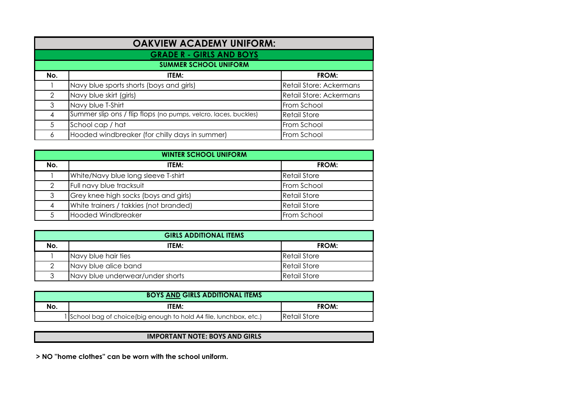| <b>OAKVIEW ACADEMY UNIFORM:</b> |                                                                 |                         |  |  |  |
|---------------------------------|-----------------------------------------------------------------|-------------------------|--|--|--|
| <b>GRADE R - GIRLS AND BOYS</b> |                                                                 |                         |  |  |  |
| <b>SUMMER SCHOOL UNIFORM</b>    |                                                                 |                         |  |  |  |
| No.                             | ITEM:                                                           | FROM:                   |  |  |  |
|                                 | Navy blue sports shorts (boys and girls)                        | Retail Store: Ackermans |  |  |  |
| $\mathcal{P}$                   | Navy blue skirt (girls)                                         | Retail Store: Ackermans |  |  |  |
| 3                               | Navy blue T-Shirt                                               | From School             |  |  |  |
|                                 | Summer slip ons / flip flops (no pumps, velcro, laces, buckles) | <b>Retail Store</b>     |  |  |  |
| 5                               | School cap / hat                                                | From School             |  |  |  |
| 6                               | Hooded windbreaker (for chilly days in summer)                  | From School             |  |  |  |

| <b>WINTER SCHOOL UNIFORM</b> |                                        |                     |  |  |
|------------------------------|----------------------------------------|---------------------|--|--|
| No.                          | ITEM:                                  | FROM:               |  |  |
|                              | White/Navy blue long sleeve T-shirt    | <b>Retail Store</b> |  |  |
| ↷                            | Full navy blue tracksuit               | From School         |  |  |
| 3                            | Grey knee high socks (boys and girls)  | <b>Retail Store</b> |  |  |
| 4                            | White trainers / takkies (not branded) | <b>Retail Store</b> |  |  |
|                              | <b>Hooded Windbreaker</b>              | From School         |  |  |

| <b>GIRLS ADDITIONAL ITEMS</b> |                                  |                     |  |  |
|-------------------------------|----------------------------------|---------------------|--|--|
| No.                           | ITEM:                            | FROM:               |  |  |
|                               | Navy blue hair ties              | <b>Retail Store</b> |  |  |
|                               | Navy blue alice band             | Retail Store        |  |  |
| հ                             | Navy blue underwear/under shorts | Retail Store        |  |  |

| <b>BOYS AND GIRLS ADDITIONAL ITEMS</b> |                                                                     |                       |  |  |
|----------------------------------------|---------------------------------------------------------------------|-----------------------|--|--|
| No.                                    | ITEM:                                                               | FROM:                 |  |  |
|                                        | 1 School bag of choice (big enough to hold A4 file, lunchbox, etc.) | <b>I</b> Retail Store |  |  |

## **IMPORTANT NOTE: BOYS AND GIRLS**

**> NO ''home clothes'' can be worn with the school uniform.**